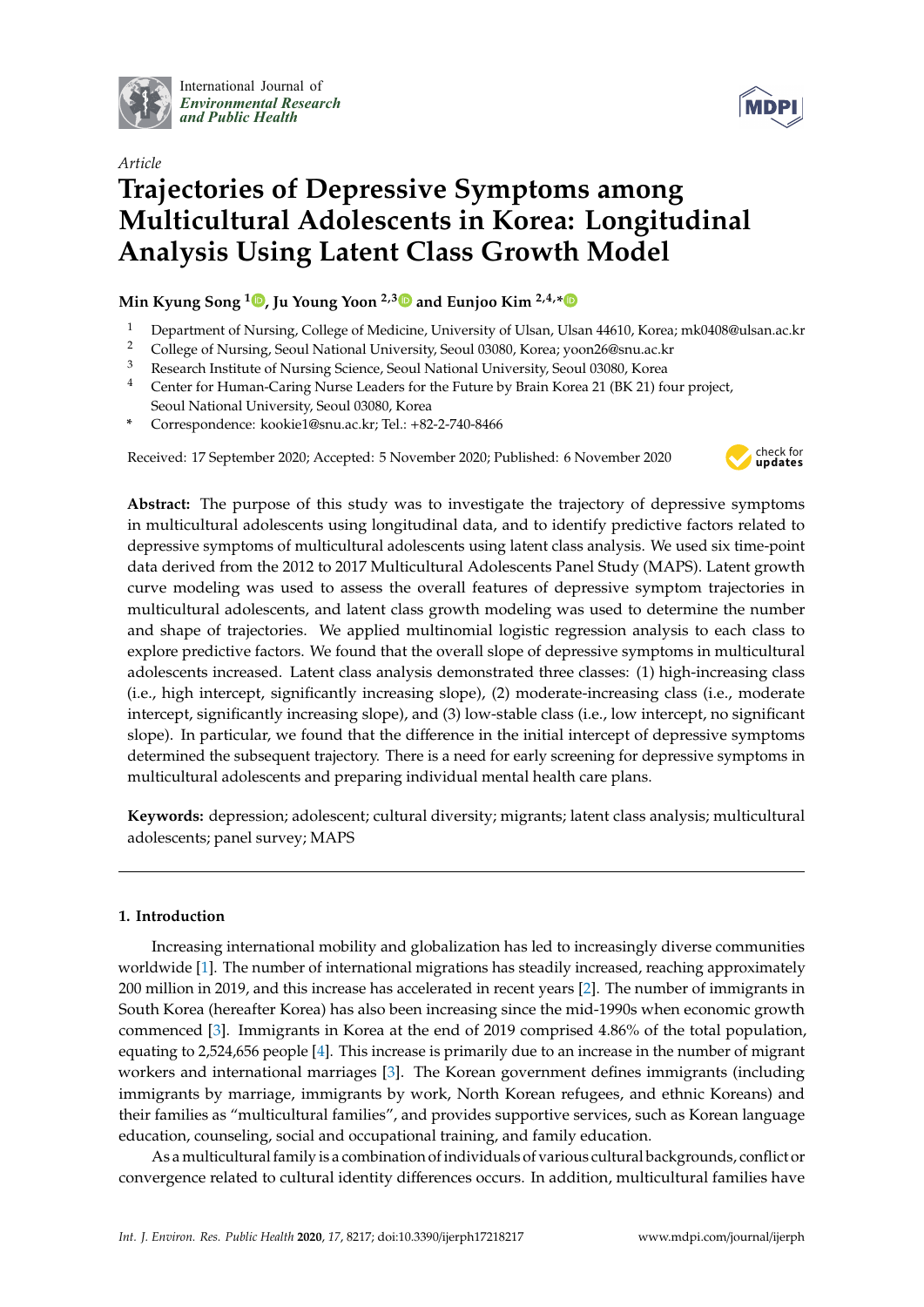

International Journal of *[Environmental Research](http://www.mdpi.com/journal/ijerph) and Public Health*



# *Article* **Trajectories of Depressive Symptoms among Multicultural Adolescents in Korea: Longitudinal Analysis Using Latent Class Growth Model**

**Min Kyung Song <sup>1</sup> [,](https://orcid.org/0000-0002-9938-9479) Ju Young Yoon 2,[3](https://orcid.org/0000-0003-3944-0663) and Eunjoo Kim 2,4,[\\*](https://orcid.org/0000-0001-6469-6762)**

- <sup>1</sup> Department of Nursing, College of Medicine, University of Ulsan, Ulsan 44610, Korea; mk0408@ulsan.ac.kr<br><sup>2</sup> College of Nursing, Socul National University Socul 03080, Korea; woon26@ppu.ac.kr
- <sup>2</sup> College of Nursing, Seoul National University, Seoul 03080, Korea; yoon26@snu.ac.kr
- <sup>3</sup> Research Institute of Nursing Science, Seoul National University, Seoul 03080, Korea
- <sup>4</sup> Center for Human-Caring Nurse Leaders for the Future by Brain Korea 21 (BK 21) four project, Seoul National University, Seoul 03080, Korea
- **\*** Correspondence: kookie1@snu.ac.kr; Tel.: +82-2-740-8466

Received: 17 September 2020; Accepted: 5 November 2020; Published: 6 November 2020



**Abstract:** The purpose of this study was to investigate the trajectory of depressive symptoms in multicultural adolescents using longitudinal data, and to identify predictive factors related to depressive symptoms of multicultural adolescents using latent class analysis. We used six time-point data derived from the 2012 to 2017 Multicultural Adolescents Panel Study (MAPS). Latent growth curve modeling was used to assess the overall features of depressive symptom trajectories in multicultural adolescents, and latent class growth modeling was used to determine the number and shape of trajectories. We applied multinomial logistic regression analysis to each class to explore predictive factors. We found that the overall slope of depressive symptoms in multicultural adolescents increased. Latent class analysis demonstrated three classes: (1) high-increasing class (i.e., high intercept, significantly increasing slope), (2) moderate-increasing class (i.e., moderate intercept, significantly increasing slope), and (3) low-stable class (i.e., low intercept, no significant slope). In particular, we found that the difference in the initial intercept of depressive symptoms determined the subsequent trajectory. There is a need for early screening for depressive symptoms in multicultural adolescents and preparing individual mental health care plans.

**Keywords:** depression; adolescent; cultural diversity; migrants; latent class analysis; multicultural adolescents; panel survey; MAPS

# **1. Introduction**

Increasing international mobility and globalization has led to increasingly diverse communities worldwide [\[1\]](#page-12-0). The number of international migrations has steadily increased, reaching approximately 200 million in 2019, and this increase has accelerated in recent years [\[2\]](#page-12-1). The number of immigrants in South Korea (hereafter Korea) has also been increasing since the mid-1990s when economic growth commenced [\[3\]](#page-12-2). Immigrants in Korea at the end of 2019 comprised 4.86% of the total population, equating to 2,524,656 people [\[4\]](#page-12-3). This increase is primarily due to an increase in the number of migrant workers and international marriages [\[3\]](#page-12-2). The Korean government defines immigrants (including immigrants by marriage, immigrants by work, North Korean refugees, and ethnic Koreans) and their families as "multicultural families", and provides supportive services, such as Korean language education, counseling, social and occupational training, and family education.

As a multicultural family is a combination of individuals of various cultural backgrounds, conflict or convergence related to cultural identity differences occurs. In addition, multicultural families have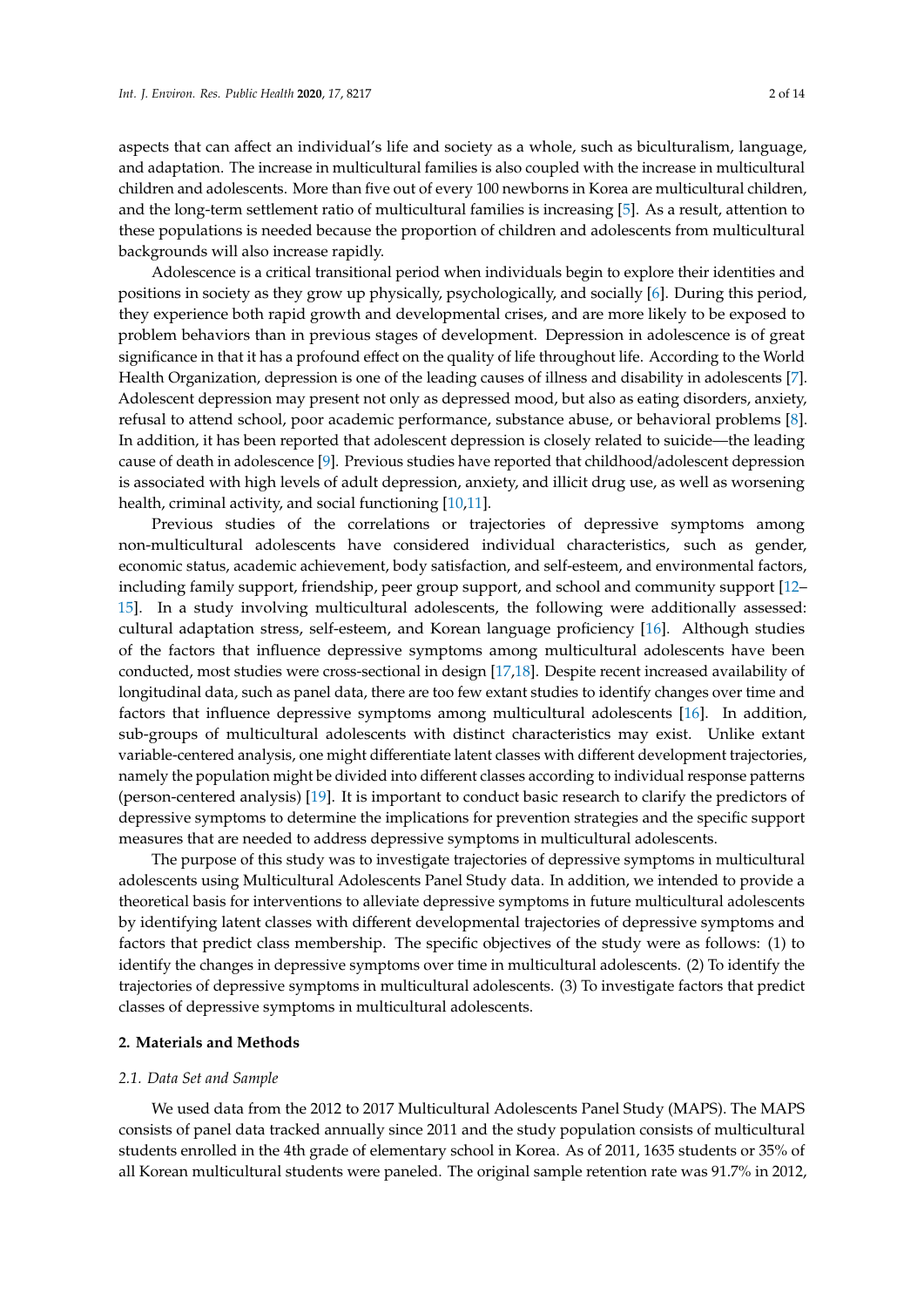aspects that can affect an individual's life and society as a whole, such as biculturalism, language, and adaptation. The increase in multicultural families is also coupled with the increase in multicultural children and adolescents. More than five out of every 100 newborns in Korea are multicultural children, and the long-term settlement ratio of multicultural families is increasing [\[5\]](#page-12-4). As a result, attention to these populations is needed because the proportion of children and adolescents from multicultural backgrounds will also increase rapidly.

Adolescence is a critical transitional period when individuals begin to explore their identities and positions in society as they grow up physically, psychologically, and socially [\[6\]](#page-12-5). During this period, they experience both rapid growth and developmental crises, and are more likely to be exposed to problem behaviors than in previous stages of development. Depression in adolescence is of great significance in that it has a profound effect on the quality of life throughout life. According to the World Health Organization, depression is one of the leading causes of illness and disability in adolescents [\[7\]](#page-12-6). Adolescent depression may present not only as depressed mood, but also as eating disorders, anxiety, refusal to attend school, poor academic performance, substance abuse, or behavioral problems [\[8\]](#page-12-7). In addition, it has been reported that adolescent depression is closely related to suicide—the leading cause of death in adolescence [\[9\]](#page-12-8). Previous studies have reported that childhood/adolescent depression is associated with high levels of adult depression, anxiety, and illicit drug use, as well as worsening health, criminal activity, and social functioning [\[10,](#page-12-9)[11\]](#page-12-10).

Previous studies of the correlations or trajectories of depressive symptoms among non-multicultural adolescents have considered individual characteristics, such as gender, economic status, academic achievement, body satisfaction, and self-esteem, and environmental factors, including family support, friendship, peer group support, and school and community support [\[12–](#page-12-11) [15\]](#page-12-12). In a study involving multicultural adolescents, the following were additionally assessed: cultural adaptation stress, self-esteem, and Korean language proficiency [\[16\]](#page-12-13). Although studies of the factors that influence depressive symptoms among multicultural adolescents have been conducted, most studies were cross-sectional in design [\[17](#page-12-14)[,18\]](#page-12-15). Despite recent increased availability of longitudinal data, such as panel data, there are too few extant studies to identify changes over time and factors that influence depressive symptoms among multicultural adolescents [\[16\]](#page-12-13). In addition, sub-groups of multicultural adolescents with distinct characteristics may exist. Unlike extant variable-centered analysis, one might differentiate latent classes with different development trajectories, namely the population might be divided into different classes according to individual response patterns (person-centered analysis) [\[19\]](#page-12-16). It is important to conduct basic research to clarify the predictors of depressive symptoms to determine the implications for prevention strategies and the specific support measures that are needed to address depressive symptoms in multicultural adolescents.

The purpose of this study was to investigate trajectories of depressive symptoms in multicultural adolescents using Multicultural Adolescents Panel Study data. In addition, we intended to provide a theoretical basis for interventions to alleviate depressive symptoms in future multicultural adolescents by identifying latent classes with different developmental trajectories of depressive symptoms and factors that predict class membership. The specific objectives of the study were as follows: (1) to identify the changes in depressive symptoms over time in multicultural adolescents. (2) To identify the trajectories of depressive symptoms in multicultural adolescents. (3) To investigate factors that predict classes of depressive symptoms in multicultural adolescents.

## **2. Materials and Methods**

### *2.1. Data Set and Sample*

We used data from the 2012 to 2017 Multicultural Adolescents Panel Study (MAPS). The MAPS consists of panel data tracked annually since 2011 and the study population consists of multicultural students enrolled in the 4th grade of elementary school in Korea. As of 2011, 1635 students or 35% of all Korean multicultural students were paneled. The original sample retention rate was 91.7% in 2012,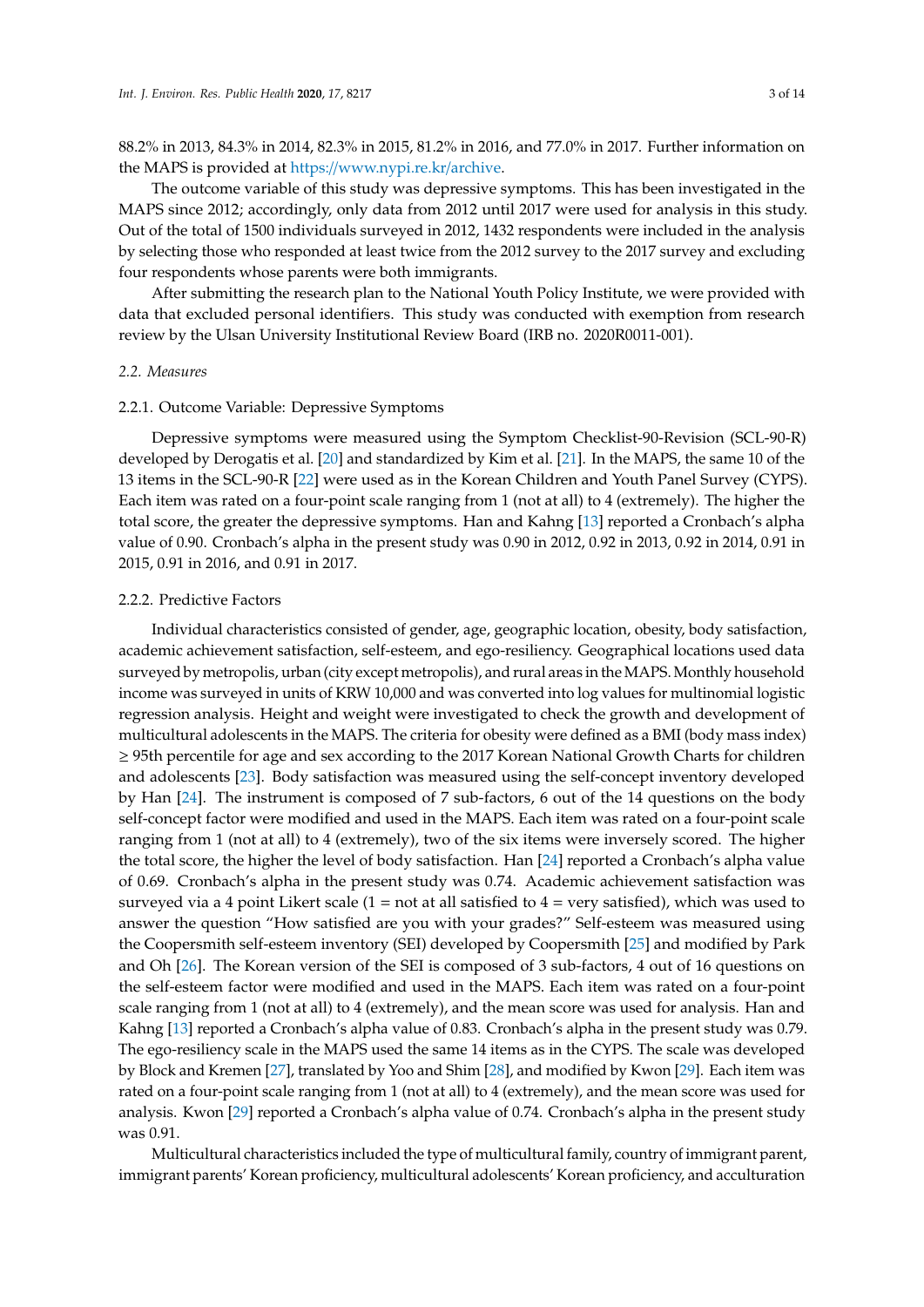88.2% in 2013, 84.3% in 2014, 82.3% in 2015, 81.2% in 2016, and 77.0% in 2017. Further information on the MAPS is provided at https://[www.nypi.re.kr](https://www.nypi.re.kr/archive)/archive.

The outcome variable of this study was depressive symptoms. This has been investigated in the MAPS since 2012; accordingly, only data from 2012 until 2017 were used for analysis in this study. Out of the total of 1500 individuals surveyed in 2012, 1432 respondents were included in the analysis by selecting those who responded at least twice from the 2012 survey to the 2017 survey and excluding four respondents whose parents were both immigrants.

After submitting the research plan to the National Youth Policy Institute, we were provided with data that excluded personal identifiers. This study was conducted with exemption from research review by the Ulsan University Institutional Review Board (IRB no. 2020R0011-001).

## *2.2. Measures*

### 2.2.1. Outcome Variable: Depressive Symptoms

Depressive symptoms were measured using the Symptom Checklist-90-Revision (SCL-90-R) developed by Derogatis et al. [\[20\]](#page-12-17) and standardized by Kim et al. [\[21\]](#page-12-18). In the MAPS, the same 10 of the 13 items in the SCL-90-R [\[22\]](#page-12-19) were used as in the Korean Children and Youth Panel Survey (CYPS). Each item was rated on a four-point scale ranging from 1 (not at all) to 4 (extremely). The higher the total score, the greater the depressive symptoms. Han and Kahng [\[13\]](#page-12-20) reported a Cronbach's alpha value of 0.90. Cronbach's alpha in the present study was 0.90 in 2012, 0.92 in 2013, 0.92 in 2014, 0.91 in 2015, 0.91 in 2016, and 0.91 in 2017.

## 2.2.2. Predictive Factors

Individual characteristics consisted of gender, age, geographic location, obesity, body satisfaction, academic achievement satisfaction, self-esteem, and ego-resiliency. Geographical locations used data surveyed by metropolis, urban (city except metropolis), and rural areas in the MAPS. Monthly household income was surveyed in units of KRW 10,000 and was converted into log values for multinomial logistic regression analysis. Height and weight were investigated to check the growth and development of multicultural adolescents in the MAPS. The criteria for obesity were defined as a BMI (body mass index) ≥ 95th percentile for age and sex according to the 2017 Korean National Growth Charts for children and adolescents [\[23\]](#page-12-21). Body satisfaction was measured using the self-concept inventory developed by Han [\[24\]](#page-12-22). The instrument is composed of 7 sub-factors, 6 out of the 14 questions on the body self-concept factor were modified and used in the MAPS. Each item was rated on a four-point scale ranging from 1 (not at all) to 4 (extremely), two of the six items were inversely scored. The higher the total score, the higher the level of body satisfaction. Han [\[24\]](#page-12-22) reported a Cronbach's alpha value of 0.69. Cronbach's alpha in the present study was 0.74. Academic achievement satisfaction was surveyed via a 4 point Likert scale  $(1 = not at all satisfied to 4 = very satisfied)$ , which was used to answer the question "How satisfied are you with your grades?" Self-esteem was measured using the Coopersmith self-esteem inventory (SEI) developed by Coopersmith [\[25\]](#page-12-23) and modified by Park and Oh [\[26\]](#page-13-0). The Korean version of the SEI is composed of 3 sub-factors, 4 out of 16 questions on the self-esteem factor were modified and used in the MAPS. Each item was rated on a four-point scale ranging from 1 (not at all) to 4 (extremely), and the mean score was used for analysis. Han and Kahng [\[13\]](#page-12-20) reported a Cronbach's alpha value of 0.83. Cronbach's alpha in the present study was 0.79. The ego-resiliency scale in the MAPS used the same 14 items as in the CYPS. The scale was developed by Block and Kremen [\[27\]](#page-13-1), translated by Yoo and Shim [\[28\]](#page-13-2), and modified by Kwon [\[29\]](#page-13-3). Each item was rated on a four-point scale ranging from 1 (not at all) to 4 (extremely), and the mean score was used for analysis. Kwon [\[29\]](#page-13-3) reported a Cronbach's alpha value of 0.74. Cronbach's alpha in the present study was 0.91.

Multicultural characteristics included the type of multicultural family, country of immigrant parent, immigrant parents' Korean proficiency, multicultural adolescents' Korean proficiency, and acculturation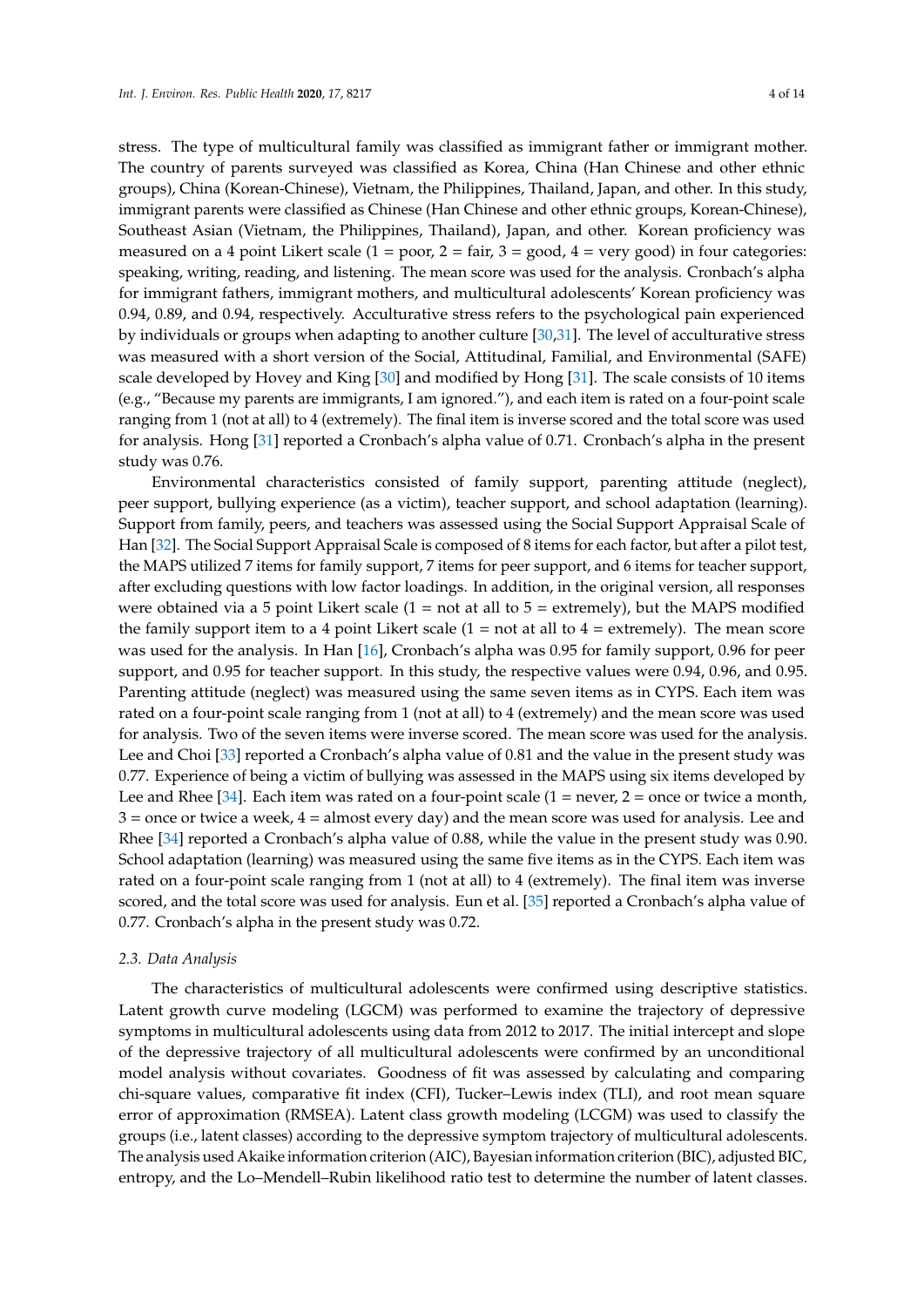stress. The type of multicultural family was classified as immigrant father or immigrant mother. The country of parents surveyed was classified as Korea, China (Han Chinese and other ethnic groups), China (Korean-Chinese), Vietnam, the Philippines, Thailand, Japan, and other. In this study, immigrant parents were classified as Chinese (Han Chinese and other ethnic groups, Korean-Chinese), Southeast Asian (Vietnam, the Philippines, Thailand), Japan, and other. Korean proficiency was measured on a 4 point Likert scale  $(1 = poor, 2 = fair, 3 = good, 4 = very good)$  in four categories: speaking, writing, reading, and listening. The mean score was used for the analysis. Cronbach's alpha for immigrant fathers, immigrant mothers, and multicultural adolescents' Korean proficiency was 0.94, 0.89, and 0.94, respectively. Acculturative stress refers to the psychological pain experienced by individuals or groups when adapting to another culture [\[30](#page-13-4)[,31\]](#page-13-5). The level of acculturative stress was measured with a short version of the Social, Attitudinal, Familial, and Environmental (SAFE) scale developed by Hovey and King [\[30\]](#page-13-4) and modified by Hong [\[31\]](#page-13-5). The scale consists of 10 items (e.g., "Because my parents are immigrants, I am ignored."), and each item is rated on a four-point scale ranging from 1 (not at all) to 4 (extremely). The final item is inverse scored and the total score was used for analysis. Hong [\[31\]](#page-13-5) reported a Cronbach's alpha value of 0.71. Cronbach's alpha in the present study was 0.76.

Environmental characteristics consisted of family support, parenting attitude (neglect), peer support, bullying experience (as a victim), teacher support, and school adaptation (learning). Support from family, peers, and teachers was assessed using the Social Support Appraisal Scale of Han [\[32\]](#page-13-6). The Social Support Appraisal Scale is composed of 8 items for each factor, but after a pilot test, the MAPS utilized 7 items for family support, 7 items for peer support, and 6 items for teacher support, after excluding questions with low factor loadings. In addition, in the original version, all responses were obtained via a 5 point Likert scale  $(1 = not at all to 5 = extremely)$ , but the MAPS modified the family support item to a 4 point Likert scale  $(1 = not at all to 4 = extremely)$ . The mean score was used for the analysis. In Han [\[16\]](#page-12-13), Cronbach's alpha was 0.95 for family support, 0.96 for peer support, and 0.95 for teacher support. In this study, the respective values were 0.94, 0.96, and 0.95. Parenting attitude (neglect) was measured using the same seven items as in CYPS. Each item was rated on a four-point scale ranging from 1 (not at all) to 4 (extremely) and the mean score was used for analysis. Two of the seven items were inverse scored. The mean score was used for the analysis. Lee and Choi [\[33\]](#page-13-7) reported a Cronbach's alpha value of 0.81 and the value in the present study was 0.77. Experience of being a victim of bullying was assessed in the MAPS using six items developed by Lee and Rhee [\[34\]](#page-13-8). Each item was rated on a four-point scale  $(1 = never, 2 = once or twice a month,$  $3$  = once or twice a week,  $4$  = almost every day) and the mean score was used for analysis. Lee and Rhee [\[34\]](#page-13-8) reported a Cronbach's alpha value of 0.88, while the value in the present study was 0.90. School adaptation (learning) was measured using the same five items as in the CYPS. Each item was rated on a four-point scale ranging from 1 (not at all) to 4 (extremely). The final item was inverse scored, and the total score was used for analysis. Eun et al. [\[35\]](#page-13-9) reported a Cronbach's alpha value of 0.77. Cronbach's alpha in the present study was 0.72.

## *2.3. Data Analysis*

The characteristics of multicultural adolescents were confirmed using descriptive statistics. Latent growth curve modeling (LGCM) was performed to examine the trajectory of depressive symptoms in multicultural adolescents using data from 2012 to 2017. The initial intercept and slope of the depressive trajectory of all multicultural adolescents were confirmed by an unconditional model analysis without covariates. Goodness of fit was assessed by calculating and comparing chi-square values, comparative fit index (CFI), Tucker–Lewis index (TLI), and root mean square error of approximation (RMSEA). Latent class growth modeling (LCGM) was used to classify the groups (i.e., latent classes) according to the depressive symptom trajectory of multicultural adolescents. The analysis used Akaike information criterion (AIC), Bayesian information criterion (BIC), adjusted BIC, entropy, and the Lo–Mendell–Rubin likelihood ratio test to determine the number of latent classes.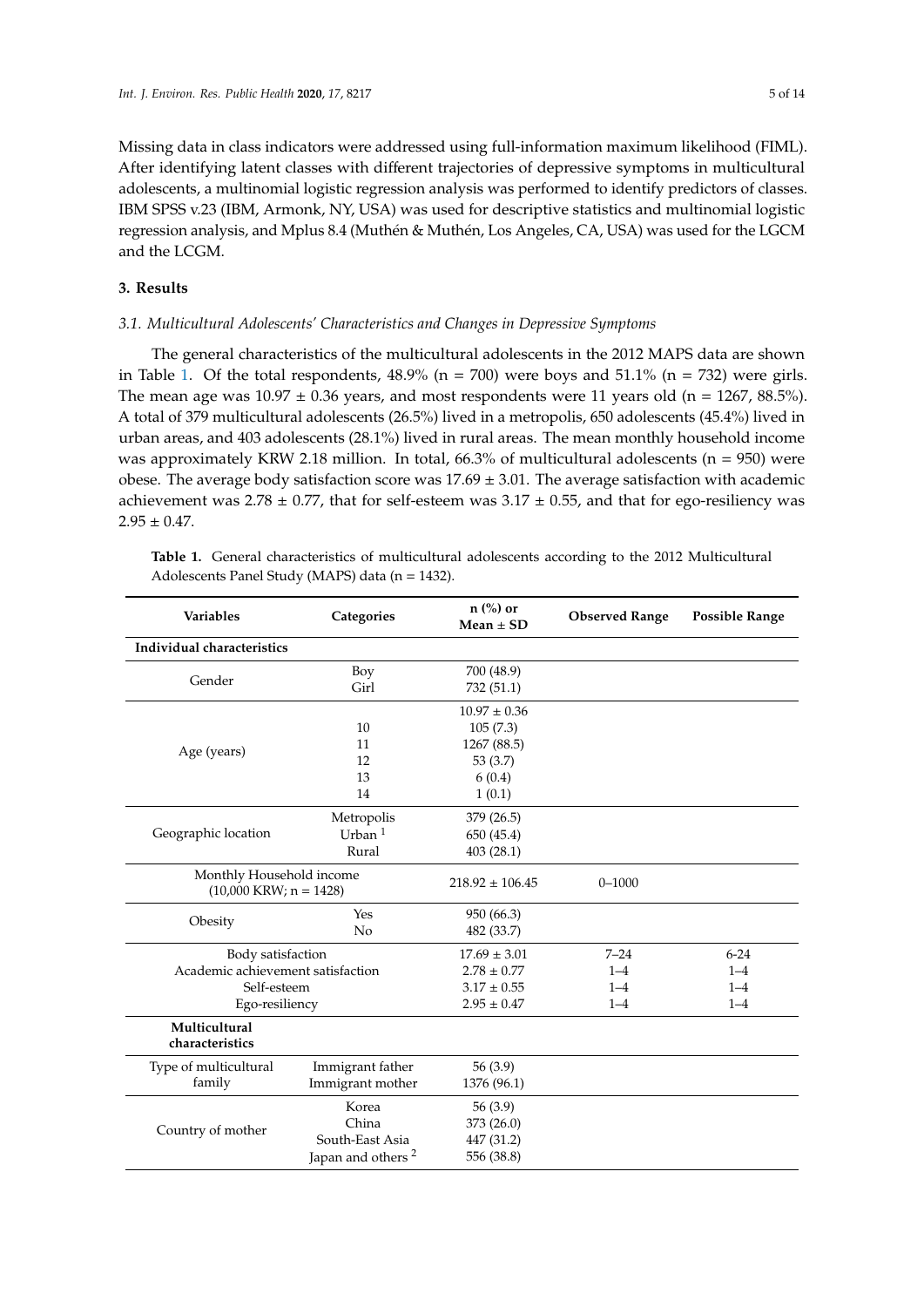Missing data in class indicators were addressed using full-information maximum likelihood (FIML). After identifying latent classes with different trajectories of depressive symptoms in multicultural adolescents, a multinomial logistic regression analysis was performed to identify predictors of classes. IBM SPSS v.23 (IBM, Armonk, NY, USA) was used for descriptive statistics and multinomial logistic regression analysis, and Mplus 8.4 (Muthén & Muthén, Los Angeles, CA, USA) was used for the LGCM and the LCGM.

# **3. Results**

## *3.1. Multicultural Adolescents' Characteristics and Changes in Depressive Symptoms*

The general characteristics of the multicultural adolescents in the 2012 MAPS data are shown in Table [1.](#page-5-0) Of the total respondents,  $48.9\%$  (n = 700) were boys and  $51.1\%$  (n = 732) were girls. The mean age was  $10.97 \pm 0.36$  years, and most respondents were 11 years old (n = 1267, 88.5%). A total of 379 multicultural adolescents (26.5%) lived in a metropolis, 650 adolescents (45.4%) lived in urban areas, and 403 adolescents (28.1%) lived in rural areas. The mean monthly household income was approximately KRW 2.18 million. In total, 66.3% of multicultural adolescents ( $n = 950$ ) were obese. The average body satisfaction score was  $17.69 \pm 3.01$ . The average satisfaction with academic achievement was  $2.78 \pm 0.77$ , that for self-esteem was  $3.17 \pm 0.55$ , and that for ego-resiliency was  $2.95 \pm 0.47$ .

|  | Table 1. General characteristics of multicultural adolescents according to the 2012 Multicultural |  |  |
|--|---------------------------------------------------------------------------------------------------|--|--|
|  | Adolescents Panel Study (MAPS) data (n = 1432).                                                   |  |  |

| <b>Variables</b>                                        | Categories                    | $n$ (%) or<br>Mean $\pm$ SD | <b>Observed Range</b> | <b>Possible Range</b> |
|---------------------------------------------------------|-------------------------------|-----------------------------|-----------------------|-----------------------|
| Individual characteristics                              |                               |                             |                       |                       |
| Gender                                                  | Boy<br>Girl                   | 700 (48.9)<br>732 (51.1)    |                       |                       |
|                                                         |                               | $10.97 \pm 0.36$            |                       |                       |
|                                                         | 10<br>11                      | 105(7.3)<br>1267 (88.5)     |                       |                       |
| Age (years)                                             | 12                            | 53(3.7)                     |                       |                       |
|                                                         | 13                            | 6(0.4)                      |                       |                       |
|                                                         | 14                            | 1(0.1)                      |                       |                       |
|                                                         | Metropolis                    | 379 (26.5)                  |                       |                       |
| Geographic location                                     | Urban $1$                     | 650 (45.4)                  |                       |                       |
|                                                         | Rural                         | 403(28.1)                   |                       |                       |
| Monthly Household income<br>$(10,000$ KRW; $n = 1428$ ) |                               | $218.92 \pm 106.45$         | $0 - 1000$            |                       |
| Obesity                                                 | Yes                           | 950 (66.3)                  |                       |                       |
|                                                         | No                            | 482 (33.7)                  |                       |                       |
| Body satisfaction                                       |                               | $17.69 \pm 3.01$            | $7 - 24$              | $6 - 24$              |
| Academic achievement satisfaction                       |                               | $2.78 \pm 0.77$             | $1 - 4$               | $1 - 4$               |
| Self-esteem                                             |                               | $3.17 \pm 0.55$             | $1 - 4$               | $1 - 4$               |
| Ego-resiliency                                          |                               | $2.95 \pm 0.47$             | $1 - 4$               | $1 - 4$               |
| Multicultural<br>characteristics                        |                               |                             |                       |                       |
| Type of multicultural                                   | Immigrant father              | 56(3.9)                     |                       |                       |
| family                                                  | Immigrant mother              | 1376 (96.1)                 |                       |                       |
|                                                         | Korea                         | 56 (3.9)                    |                       |                       |
| Country of mother                                       | China                         | 373 (26.0)                  |                       |                       |
|                                                         | South-East Asia               | 447 (31.2)                  |                       |                       |
|                                                         | Japan and others <sup>2</sup> | 556 (38.8)                  |                       |                       |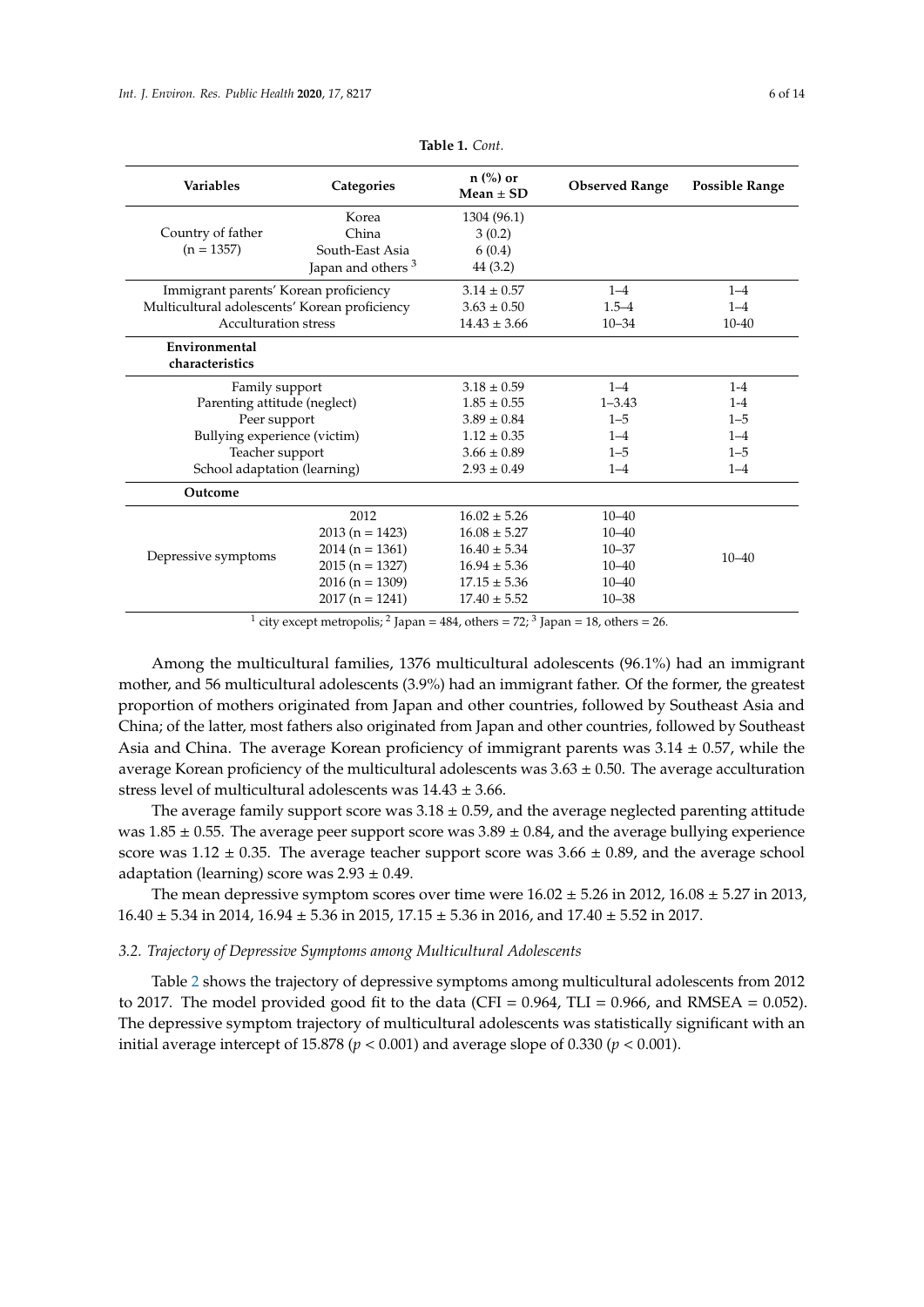<span id="page-5-0"></span>

| <b>Variables</b>                              | Categories                    | $n$ (%) or<br>$Mean \pm SD$ | <b>Observed Range</b> | <b>Possible Range</b> |
|-----------------------------------------------|-------------------------------|-----------------------------|-----------------------|-----------------------|
|                                               | Korea                         | 1304 (96.1)                 |                       |                       |
| Country of father                             | China                         | 3(0.2)                      |                       |                       |
| $(n = 1357)$                                  | South-East Asia               | 6(0.4)                      |                       |                       |
|                                               | Japan and others <sup>3</sup> | 44 (3.2)                    |                       |                       |
| Immigrant parents' Korean proficiency         |                               | $3.14 \pm 0.57$             | $1 - 4$               | $1 - 4$               |
| Multicultural adolescents' Korean proficiency |                               | $3.63 \pm 0.50$             | $1.5 - 4$             | $1 - 4$               |
| Acculturation stress                          |                               | $14.43 \pm 3.66$            | $10 - 34$             | $10 - 40$             |
| Environmental<br>characteristics              |                               |                             |                       |                       |
| Family support                                |                               | $3.18 \pm 0.59$             | $1 - 4$               | $1 - 4$               |
| Parenting attitude (neglect)                  |                               | $1.85 \pm 0.55$             | $1 - 3.43$            | $1 - 4$               |
| Peer support                                  |                               | $3.89 \pm 0.84$             | $1 - 5$               | $1 - 5$               |
| Bullying experience (victim)                  |                               | $1.12 \pm 0.35$             | $1 - 4$               | $1 - 4$               |
| Teacher support                               |                               | $3.66 \pm 0.89$             | $1 - 5$               | $1 - 5$               |
| School adaptation (learning)                  |                               | $2.93 \pm 0.49$             | $1 - 4$               | $1 - 4$               |
| Outcome                                       |                               |                             |                       |                       |
|                                               | 2012                          | $16.02 \pm 5.26$            | $10 - 40$             |                       |
|                                               | $2013(n = 1423)$              | $16.08 \pm 5.27$            | $10 - 40$             |                       |
| Depressive symptoms                           | $2014 (n = 1361)$             | $16.40 \pm 5.34$            | $10 - 37$             | $10 - 40$             |
|                                               | $2015(n = 1327)$              | $16.94 \pm 5.36$            | $10 - 40$             |                       |
|                                               | $2016 (n = 1309)$             | $17.15 \pm 5.36$            | $10 - 40$             |                       |
|                                               | $2017(n = 1241)$              | $17.40 \pm 5.52$            | $10 - 38$             |                       |

**Table 1.** *Cont.*

<sup>1</sup> city except metropolis; <sup>2</sup> Japan = 484, others = 72; <sup>3</sup> Japan = 18, others = 26.

Among the multicultural families, 1376 multicultural adolescents (96.1%) had an immigrant mother, and 56 multicultural adolescents (3.9%) had an immigrant father. Of the former, the greatest proportion of mothers originated from Japan and other countries, followed by Southeast Asia and China; of the latter, most fathers also originated from Japan and other countries, followed by Southeast Asia and China. The average Korean proficiency of immigrant parents was  $3.14 \pm 0.57$ , while the average Korean proficiency of the multicultural adolescents was  $3.63 \pm 0.50$ . The average acculturation stress level of multicultural adolescents was  $14.43 \pm 3.66$ .

The average family support score was  $3.18 \pm 0.59$ , and the average neglected parenting attitude was  $1.85 \pm 0.55$ . The average peer support score was  $3.89 \pm 0.84$ , and the average bullying experience score was  $1.12 \pm 0.35$ . The average teacher support score was  $3.66 \pm 0.89$ , and the average school adaptation (learning) score was  $2.93 \pm 0.49$ .

The mean depressive symptom scores over time were  $16.02 \pm 5.26$  in  $2012$ ,  $16.08 \pm 5.27$  in 2013,  $16.40 \pm 5.34$  in 2014,  $16.94 \pm 5.36$  in 2015,  $17.15 \pm 5.36$  in 2016, and  $17.40 \pm 5.52$  in 2017.

## *3.2. Trajectory of Depressive Symptoms among Multicultural Adolescents*

Table [2](#page-6-0) shows the trajectory of depressive symptoms among multicultural adolescents from 2012 to 2017. The model provided good fit to the data (CFI =  $0.964$ , TLI =  $0.966$ , and RMSEA =  $0.052$ ). The depressive symptom trajectory of multicultural adolescents was statistically significant with an initial average intercept of 15.878 ( $p < 0.001$ ) and average slope of 0.330 ( $p < 0.001$ ).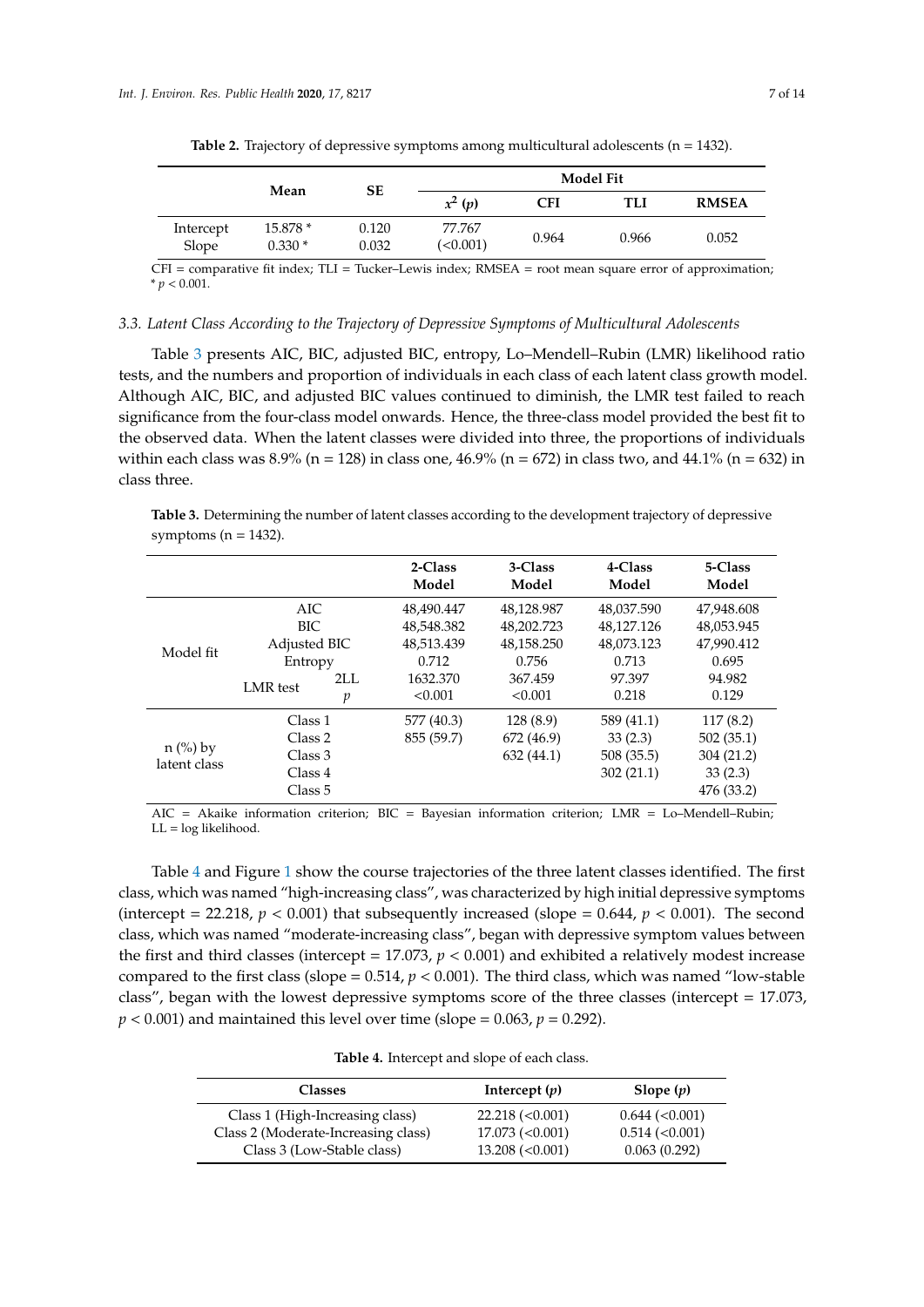<span id="page-6-0"></span>

|                    | Mean                 | SЕ             | <b>Model Fit</b>   |            |       |              |
|--------------------|----------------------|----------------|--------------------|------------|-------|--------------|
|                    |                      |                | $x^2(p)$           | <b>CFI</b> | TLI   | <b>RMSEA</b> |
| Intercept<br>Slope | 15.878 *<br>$0.330*$ | 0.120<br>0.032 | 77.767<br>(<0.001) | 0.964      | 0.966 | 0.052        |

Table 2. Trajectory of depressive symptoms among multicultural adolescents (n = 1432).

CFI = comparative fit index; TLI = Tucker–Lewis index; RMSEA = root mean square error of approximation;  $* p < 0.001$ .

## *3.3. Latent Class According to the Trajectory of Depressive Symptoms of Multicultural Adolescents*

Table [3](#page-6-1) presents AIC, BIC, adjusted BIC, entropy, Lo–Mendell–Rubin (LMR) likelihood ratio tests, and the numbers and proportion of individuals in each class of each latent class growth model. Although AIC, BIC, and adjusted BIC values continued to diminish, the LMR test failed to reach significance from the four-class model onwards. Hence, the three-class model provided the best fit to the observed data. When the latent classes were divided into three, the proportions of individuals within each class was  $8.9\%$  (n = 128) in class one,  $46.9\%$  (n = 672) in class two, and  $44.1\%$  (n = 632) in class three.

<span id="page-6-1"></span>**Table 3.** Determining the number of latent classes according to the development trajectory of depressive symptoms ( $n = 1432$ ).

|                            |              |     | 2-Class<br>Model | 3-Class<br>Model | 4-Class<br>Model | 5-Class<br>Model |
|----------------------------|--------------|-----|------------------|------------------|------------------|------------------|
|                            | AIC          |     | 48,490.447       | 48,128.987       | 48,037.590       | 47,948.608       |
|                            | BIC.         |     | 48,548.382       | 48,202.723       | 48,127.126       | 48,053.945       |
|                            | Adjusted BIC |     | 48,513.439       | 48,158.250       | 48,073.123       | 47,990.412       |
| Model fit                  | Entropy      |     | 0.712            | 0.756            | 0.713            | 0.695            |
|                            | LMR test     | 2LL | 1632.370         | 367.459          | 97.397           | 94.982           |
|                            |              | р   | < 0.001          | < 0.001          | 0.218            | 0.129            |
|                            | Class 1      |     | 577 (40.3)       | 128(8.9)         | 589 (41.1)       | 117(8.2)         |
|                            | Class 2      |     | 855 (59.7)       | 672 (46.9)       | 33(2.3)          | 502(35.1)        |
| $n$ (%) by<br>latent class | Class 3      |     |                  | 632 (44.1)       | 508 (35.5)       | 304(21.2)        |
|                            | Class 4      |     |                  |                  | 302(21.1)        | 33(2.3)          |
|                            | Class 5      |     |                  |                  |                  | 476 (33.2)       |

AIC = Akaike information criterion; BIC = Bayesian information criterion; LMR = Lo–Mendell–Rubin; LL = log likelihood.

Table [4](#page-6-2) and Figure [1](#page-7-0) show the course trajectories of the three latent classes identified. The first class, which was named "high-increasing class", was characterized by high initial depressive symptoms (intercept = 22.218,  $p < 0.001$ ) that subsequently increased (slope = 0.644,  $p < 0.001$ ). The second class, which was named "moderate-increasing class", began with depressive symptom values between the first and third classes (intercept =  $17.073$ ,  $p < 0.001$ ) and exhibited a relatively modest increase compared to the first class (slope  $= 0.514$ ,  $p < 0.001$ ). The third class, which was named "low-stable" class", began with the lowest depressive symptoms score of the three classes (intercept = 17.073,  $p < 0.001$ ) and maintained this level over time (slope =  $0.063$ ,  $p = 0.292$ ).

**Table 4.** Intercept and slope of each class.

<span id="page-6-2"></span>

| <b>Classes</b>                      | Intercept $(p)$          | Slope $(p)$     |
|-------------------------------------|--------------------------|-----------------|
| Class 1 (High-Increasing class)     | $22.218 \approx (0.001)$ | 0.644 (< 0.001) |
| Class 2 (Moderate-Increasing class) | $17.073$ (< $0.001$ )    | 0.514 (< 0.001) |
| Class 3 (Low-Stable class)          | 13.208 (< 0.001)         | 0.063(0.292)    |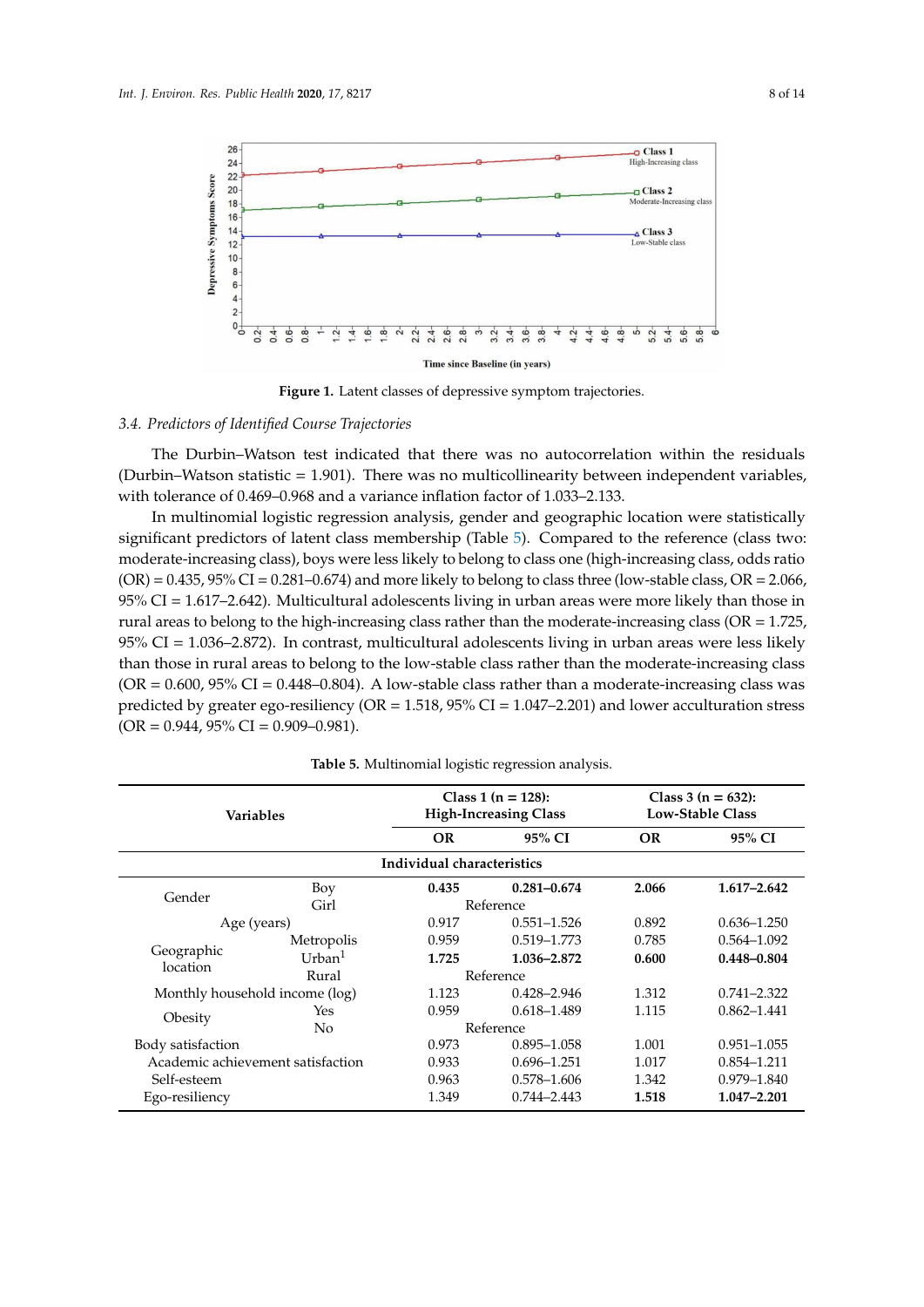<span id="page-7-0"></span>

**Figure 1.** Latent classes of depressive symptom trajectories.

### *3.4. Predictors of Identified Course Trajectories*

The Durbin–Watson test indicated that there was no autocorrelation within the residuals (Durbin–Watson statistic = 1.901). There was no multicollinearity between independent variables, with tolerance of 0.469–0.968 and a variance inflation factor of 1.033–2.133.

In multinomial logistic regression analysis, gender and geographic location were statistically significant predictors of latent class membership (Table [5\)](#page-8-0). Compared to the reference (class two: moderate-increasing class), boys were less likely to belong to class one (high-increasing class, odds ratio  $(OR) = 0.435$ ,  $95\% CI = 0.281 - 0.674$ ) and more likely to belong to class three (low-stable class,  $OR = 2.066$ , 95% CI = 1.617–2.642). Multicultural adolescents living in urban areas were more likely than those in rural areas to belong to the high-increasing class rather than the moderate-increasing class ( $OR = 1.725$ , 95% CI = 1.036–2.872). In contrast, multicultural adolescents living in urban areas were less likely than those in rural areas to belong to the low-stable class rather than the moderate-increasing class  $(OR = 0.600, 95\% CI = 0.448 - 0.804)$ . A low-stable class rather than a moderate-increasing class was predicted by greater ego-resiliency (OR =  $1.518$ ,  $95\%$  CI =  $1.047$ – $2.201$ ) and lower acculturation stress  $(OR = 0.944, 95\% CI = 0.909 - 0.981).$ 

| <b>Variables</b>                  |              |                            | Class 1 $(n = 128)$ :<br><b>High-Increasing Class</b> | Class 3 ( $n = 632$ ):<br><b>Low-Stable Class</b> |                 |
|-----------------------------------|--------------|----------------------------|-------------------------------------------------------|---------------------------------------------------|-----------------|
|                                   |              | <b>OR</b>                  | 95% CI                                                | <b>OR</b>                                         | 95% CI          |
|                                   |              | Individual characteristics |                                                       |                                                   |                 |
|                                   | Boy          | 0.435                      | $0.281 - 0.674$                                       | 2.066                                             | $1.617 - 2.642$ |
| Gender                            | Girl         |                            | Reference                                             |                                                   |                 |
| Age (years)                       |              | 0.917                      | $0.551 - 1.526$                                       | 0.892                                             | $0.636 - 1.250$ |
|                                   | Metropolis   | 0.959                      | 0.519-1.773                                           | 0.785                                             | $0.564 - 1.092$ |
| Geographic                        | $U$ rban $1$ | 1.725                      | 1.036-2.872                                           | 0.600                                             | 0.448-0.804     |
| location                          | Rural        | Reference                  |                                                       |                                                   |                 |
| Monthly household income (log)    |              | 1.123                      | $0.428 - 2.946$                                       | 1.312                                             | $0.741 - 2.322$ |
|                                   | Yes          | 0.959                      | $0.618 - 1.489$                                       | 1.115                                             | $0.862 - 1.441$ |
| Obesity                           | No           | Reference                  |                                                       |                                                   |                 |
| Body satisfaction                 |              | 0.973                      | $0.895 - 1.058$                                       | 1.001                                             | $0.951 - 1.055$ |
| Academic achievement satisfaction |              | 0.933                      | $0.696 - 1.251$                                       | 1.017                                             | $0.854 - 1.211$ |
| Self-esteem                       |              | 0.963                      | 0.578-1.606                                           | 1.342                                             | 0.979-1.840     |
| Ego-resiliency                    |              | 1.349                      | $0.744 - 2.443$                                       | 1.518                                             | 1.047-2.201     |

**Table 5.** Multinomial logistic regression analysis.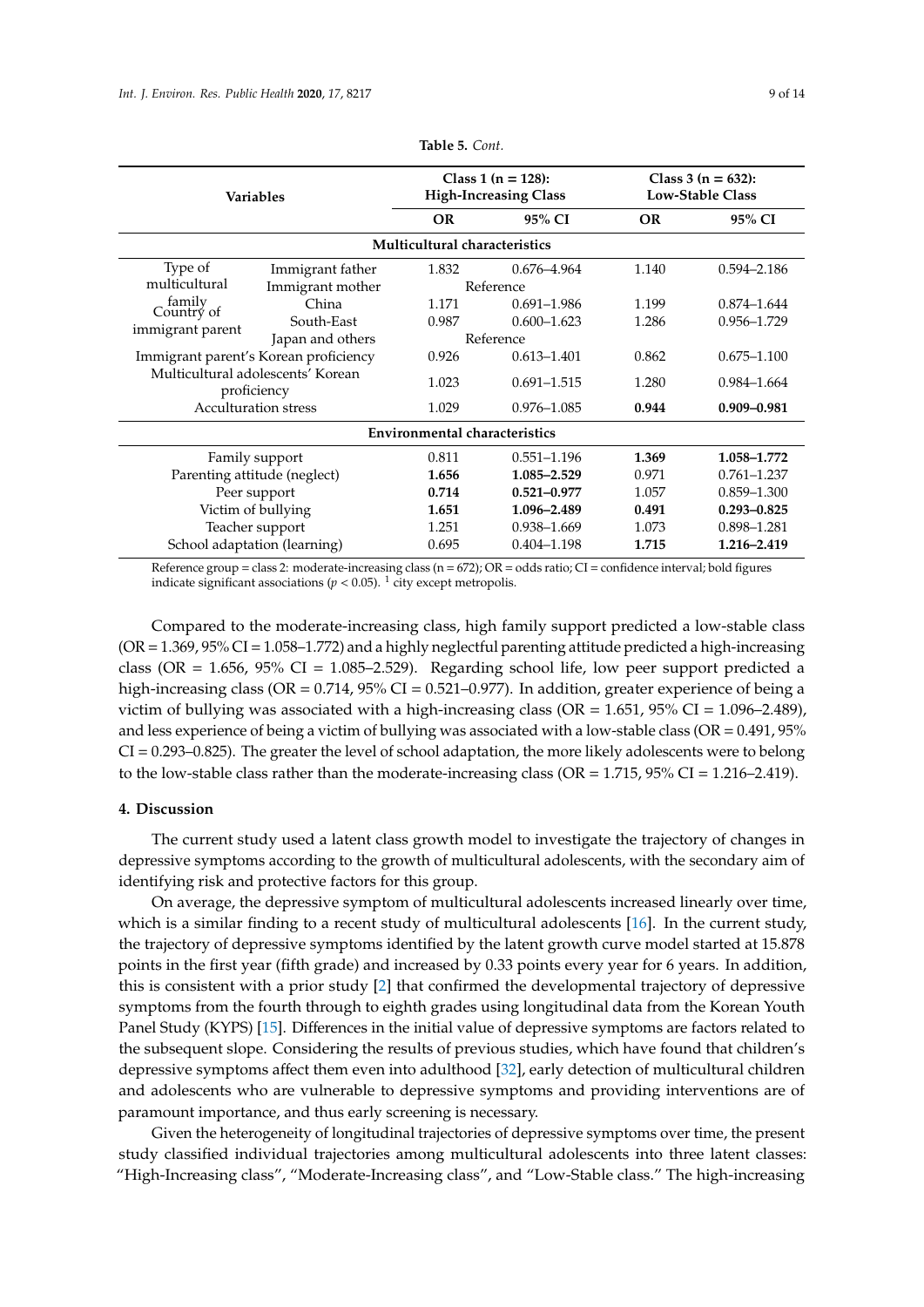<span id="page-8-0"></span>

| <b>Variables</b>                                                                                                                        |                                      |                                                                                 | Class 3 ( $n = 632$ ):<br><b>Low-Stable Class</b>                                                   |                                                                                                    |  |  |  |
|-----------------------------------------------------------------------------------------------------------------------------------------|--------------------------------------|---------------------------------------------------------------------------------|-----------------------------------------------------------------------------------------------------|----------------------------------------------------------------------------------------------------|--|--|--|
|                                                                                                                                         | OR.                                  | 95% CI                                                                          | <b>OR</b>                                                                                           | 95% CI                                                                                             |  |  |  |
| Multicultural characteristics                                                                                                           |                                      |                                                                                 |                                                                                                     |                                                                                                    |  |  |  |
| Immigrant father                                                                                                                        | 1.832                                | 0.676-4.964                                                                     | 1.140                                                                                               | $0.594 - 2.186$                                                                                    |  |  |  |
| China<br>South-East                                                                                                                     | 1.171<br>0.987                       | $0.691 - 1.986$<br>$0.600 - 1.623$                                              | 1.199<br>1.286                                                                                      | $0.874 - 1.644$<br>0.956-1.729                                                                     |  |  |  |
| Immigrant parent's Korean proficiency<br>Multicultural adolescents' Korean<br>proficiency<br>Acculturation stress                       |                                      | $0.613 - 1.401$<br>$0.691 - 1.515$<br>$0.976 - 1.085$                           | 0.862<br>1.280<br>0.944                                                                             | $0.675 - 1.100$<br>0.984-1.664<br>$0.909 - 0.981$                                                  |  |  |  |
| <b>Environmental characteristics</b>                                                                                                    |                                      |                                                                                 |                                                                                                     |                                                                                                    |  |  |  |
| Family support<br>Parenting attitude (neglect)<br>Peer support<br>Victim of bullying<br>Teacher support<br>School adaptation (learning) |                                      | $0.551 - 1.196$<br>1.085-2.529<br>$0.521 - 0.977$<br>1.096-2.489<br>0.938-1.669 | 1.369<br>0.971<br>1.057<br>0.491<br>1.073                                                           | 1.058-1.772<br>$0.761 - 1.237$<br>$0.859 - 1.300$<br>$0.293 - 0.825$<br>0.898-1.281<br>1.216-2.419 |  |  |  |
|                                                                                                                                         | Immigrant mother<br>Japan and others | 0.926<br>1.023<br>1.029<br>0.811<br>1.656<br>0.714<br>1.651<br>1.251<br>0.695   | Class 1 ( $n = 128$ ):<br><b>High-Increasing Class</b><br>Reference<br>Reference<br>$0.404 - 1.198$ | 1.715                                                                                              |  |  |  |

**Table 5.** *Cont.*

Reference group = class 2: moderate-increasing class ( $n = 672$ ); OR = odds ratio; CI = confidence interval; bold figures indicate significant associations ( $p < 0.05$ ).  $^1$  city except metropolis.

Compared to the moderate-increasing class, high family support predicted a low-stable class  $(OR = 1.369, 95\% CI = 1.058 - 1.772)$  and a highly neglectful parenting attitude predicted a high-increasing class (OR =  $1.656$ ,  $95\%$  CI =  $1.085-2.529$ ). Regarding school life, low peer support predicted a high-increasing class (OR = 0.714, 95% CI = 0.521-0.977). In addition, greater experience of being a victim of bullying was associated with a high-increasing class (OR =  $1.651$ , 95% CI =  $1.096-2.489$ ), and less experience of being a victim of bullying was associated with a low-stable class ( $OR = 0.491$ ,  $95\%$ ) CI = 0.293–0.825). The greater the level of school adaptation, the more likely adolescents were to belong to the low-stable class rather than the moderate-increasing class ( $OR = 1.715$ ,  $95\% CI = 1.216 - 2.419$ ).

## **4. Discussion**

The current study used a latent class growth model to investigate the trajectory of changes in depressive symptoms according to the growth of multicultural adolescents, with the secondary aim of identifying risk and protective factors for this group.

On average, the depressive symptom of multicultural adolescents increased linearly over time, which is a similar finding to a recent study of multicultural adolescents [\[16\]](#page-12-13). In the current study, the trajectory of depressive symptoms identified by the latent growth curve model started at 15.878 points in the first year (fifth grade) and increased by 0.33 points every year for 6 years. In addition, this is consistent with a prior study [\[2\]](#page-12-1) that confirmed the developmental trajectory of depressive symptoms from the fourth through to eighth grades using longitudinal data from the Korean Youth Panel Study (KYPS) [\[15\]](#page-12-12). Differences in the initial value of depressive symptoms are factors related to the subsequent slope. Considering the results of previous studies, which have found that children's depressive symptoms affect them even into adulthood [\[32\]](#page-13-6), early detection of multicultural children and adolescents who are vulnerable to depressive symptoms and providing interventions are of paramount importance, and thus early screening is necessary.

Given the heterogeneity of longitudinal trajectories of depressive symptoms over time, the present study classified individual trajectories among multicultural adolescents into three latent classes: "High-Increasing class", "Moderate-Increasing class", and "Low-Stable class." The high-increasing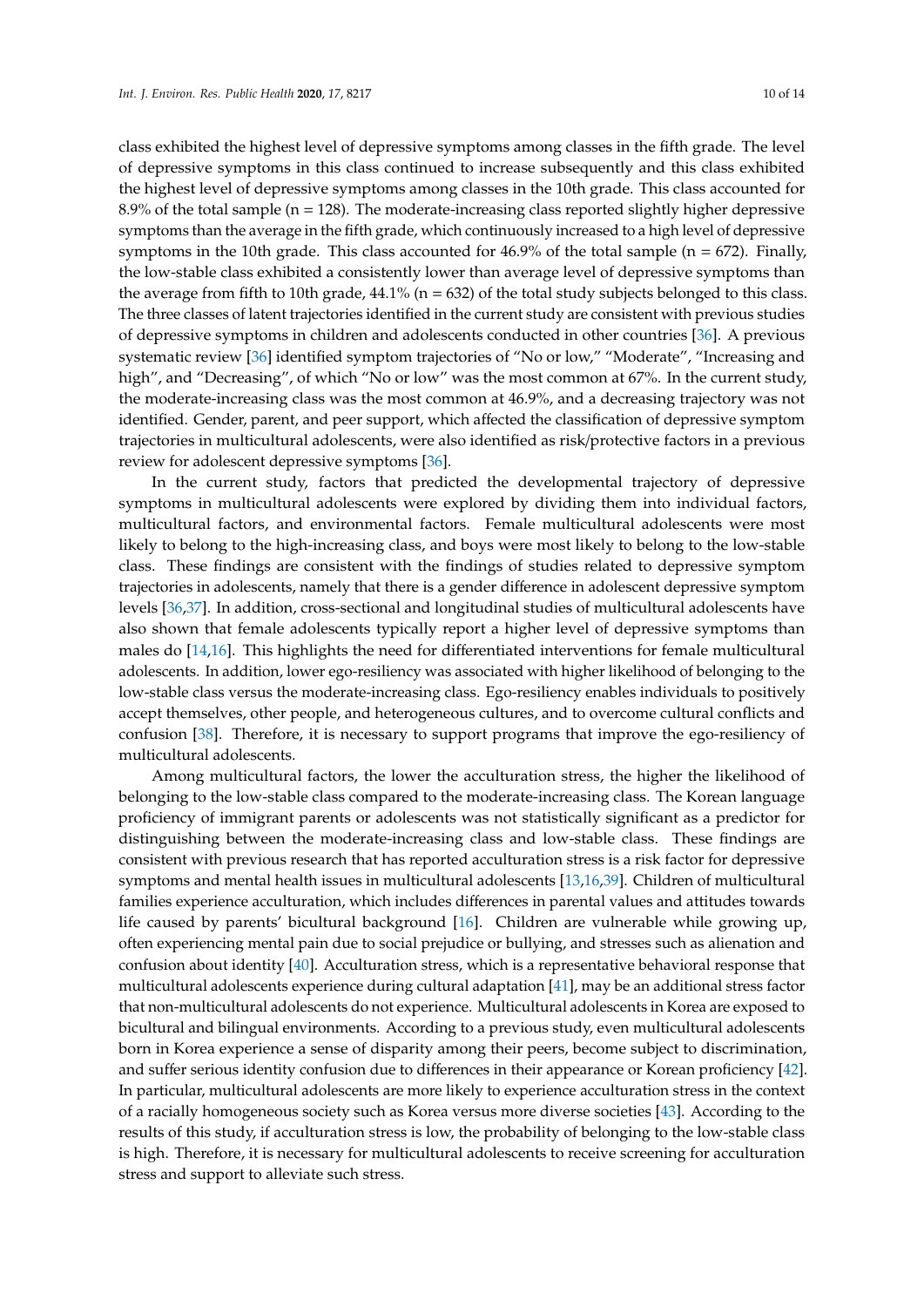class exhibited the highest level of depressive symptoms among classes in the fifth grade. The level of depressive symptoms in this class continued to increase subsequently and this class exhibited the highest level of depressive symptoms among classes in the 10th grade. This class accounted for 8.9% of the total sample ( $n = 128$ ). The moderate-increasing class reported slightly higher depressive symptoms than the average in the fifth grade, which continuously increased to a high level of depressive symptoms in the 10th grade. This class accounted for 46.9% of the total sample ( $n = 672$ ). Finally, the low-stable class exhibited a consistently lower than average level of depressive symptoms than the average from fifth to 10th grade,  $44.1\%$  (n = 632) of the total study subjects belonged to this class. The three classes of latent trajectories identified in the current study are consistent with previous studies of depressive symptoms in children and adolescents conducted in other countries [\[36\]](#page-13-10). A previous systematic review [\[36\]](#page-13-10) identified symptom trajectories of "No or low," "Moderate", "Increasing and

high", and "Decreasing", of which "No or low" was the most common at 67%. In the current study, the moderate-increasing class was the most common at 46.9%, and a decreasing trajectory was not identified. Gender, parent, and peer support, which affected the classification of depressive symptom trajectories in multicultural adolescents, were also identified as risk/protective factors in a previous review for adolescent depressive symptoms [\[36\]](#page-13-10).

In the current study, factors that predicted the developmental trajectory of depressive symptoms in multicultural adolescents were explored by dividing them into individual factors, multicultural factors, and environmental factors. Female multicultural adolescents were most likely to belong to the high-increasing class, and boys were most likely to belong to the low-stable class. These findings are consistent with the findings of studies related to depressive symptom trajectories in adolescents, namely that there is a gender difference in adolescent depressive symptom levels [\[36,](#page-13-10)[37\]](#page-13-11). In addition, cross-sectional and longitudinal studies of multicultural adolescents have also shown that female adolescents typically report a higher level of depressive symptoms than males do [\[14,](#page-12-24)[16\]](#page-12-13). This highlights the need for differentiated interventions for female multicultural adolescents. In addition, lower ego-resiliency was associated with higher likelihood of belonging to the low-stable class versus the moderate-increasing class. Ego-resiliency enables individuals to positively accept themselves, other people, and heterogeneous cultures, and to overcome cultural conflicts and confusion [\[38\]](#page-13-12). Therefore, it is necessary to support programs that improve the ego-resiliency of multicultural adolescents.

Among multicultural factors, the lower the acculturation stress, the higher the likelihood of belonging to the low-stable class compared to the moderate-increasing class. The Korean language proficiency of immigrant parents or adolescents was not statistically significant as a predictor for distinguishing between the moderate-increasing class and low-stable class. These findings are consistent with previous research that has reported acculturation stress is a risk factor for depressive symptoms and mental health issues in multicultural adolescents [\[13](#page-12-20)[,16](#page-12-13)[,39\]](#page-13-13). Children of multicultural families experience acculturation, which includes differences in parental values and attitudes towards life caused by parents' bicultural background [\[16\]](#page-12-13). Children are vulnerable while growing up, often experiencing mental pain due to social prejudice or bullying, and stresses such as alienation and confusion about identity [\[40\]](#page-13-14). Acculturation stress, which is a representative behavioral response that multicultural adolescents experience during cultural adaptation [\[41\]](#page-13-15), may be an additional stress factor that non-multicultural adolescents do not experience. Multicultural adolescents in Korea are exposed to bicultural and bilingual environments. According to a previous study, even multicultural adolescents born in Korea experience a sense of disparity among their peers, become subject to discrimination, and suffer serious identity confusion due to differences in their appearance or Korean proficiency [\[42\]](#page-13-16). In particular, multicultural adolescents are more likely to experience acculturation stress in the context of a racially homogeneous society such as Korea versus more diverse societies [\[43\]](#page-13-17). According to the results of this study, if acculturation stress is low, the probability of belonging to the low-stable class is high. Therefore, it is necessary for multicultural adolescents to receive screening for acculturation stress and support to alleviate such stress.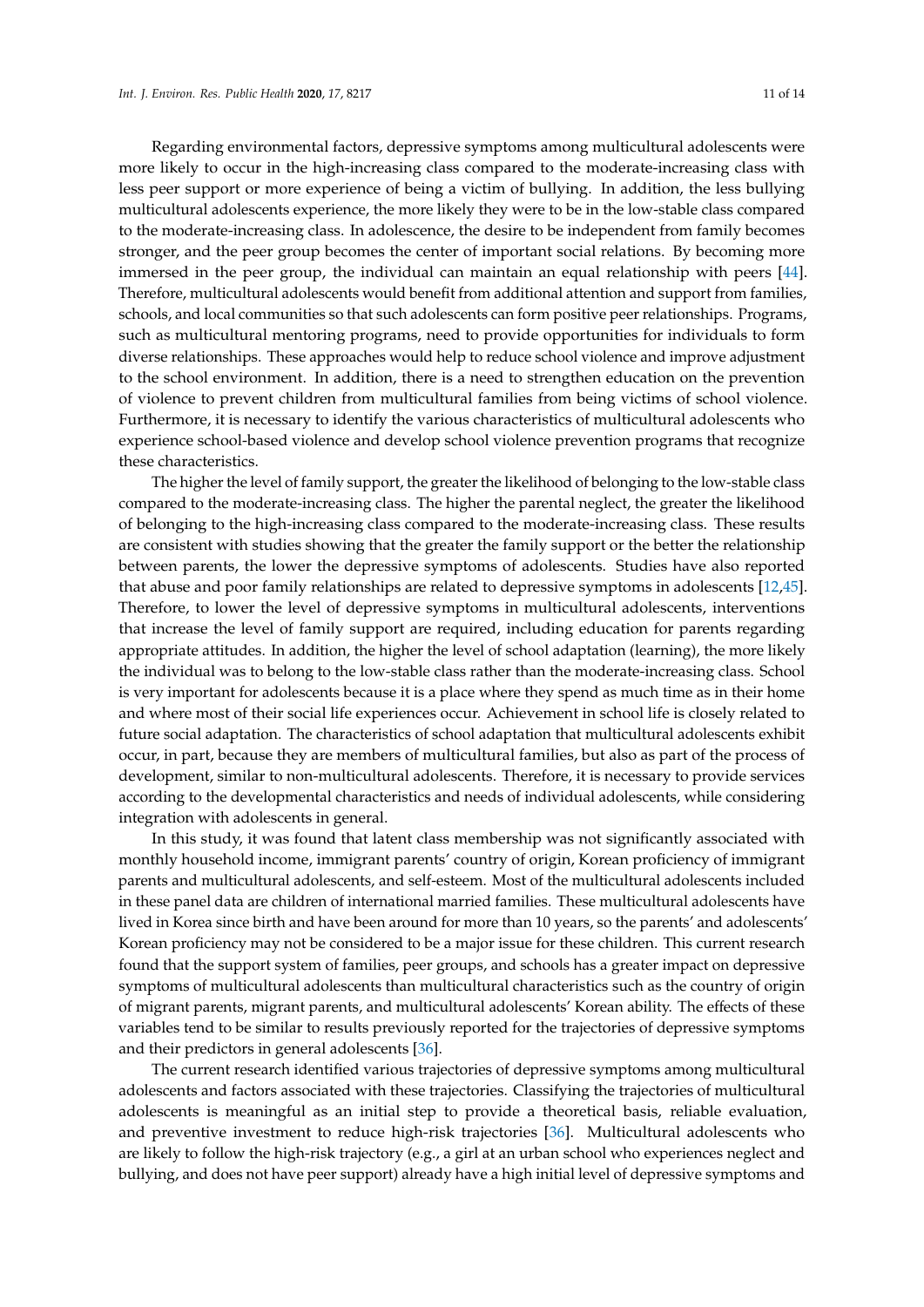Regarding environmental factors, depressive symptoms among multicultural adolescents were more likely to occur in the high-increasing class compared to the moderate-increasing class with less peer support or more experience of being a victim of bullying. In addition, the less bullying multicultural adolescents experience, the more likely they were to be in the low-stable class compared to the moderate-increasing class. In adolescence, the desire to be independent from family becomes stronger, and the peer group becomes the center of important social relations. By becoming more immersed in the peer group, the individual can maintain an equal relationship with peers [\[44\]](#page-13-18). Therefore, multicultural adolescents would benefit from additional attention and support from families, schools, and local communities so that such adolescents can form positive peer relationships. Programs, such as multicultural mentoring programs, need to provide opportunities for individuals to form diverse relationships. These approaches would help to reduce school violence and improve adjustment to the school environment. In addition, there is a need to strengthen education on the prevention of violence to prevent children from multicultural families from being victims of school violence. Furthermore, it is necessary to identify the various characteristics of multicultural adolescents who experience school-based violence and develop school violence prevention programs that recognize these characteristics.

The higher the level of family support, the greater the likelihood of belonging to the low-stable class compared to the moderate-increasing class. The higher the parental neglect, the greater the likelihood of belonging to the high-increasing class compared to the moderate-increasing class. These results are consistent with studies showing that the greater the family support or the better the relationship between parents, the lower the depressive symptoms of adolescents. Studies have also reported that abuse and poor family relationships are related to depressive symptoms in adolescents [\[12,](#page-12-11)[45\]](#page-13-19). Therefore, to lower the level of depressive symptoms in multicultural adolescents, interventions that increase the level of family support are required, including education for parents regarding appropriate attitudes. In addition, the higher the level of school adaptation (learning), the more likely the individual was to belong to the low-stable class rather than the moderate-increasing class. School is very important for adolescents because it is a place where they spend as much time as in their home and where most of their social life experiences occur. Achievement in school life is closely related to future social adaptation. The characteristics of school adaptation that multicultural adolescents exhibit occur, in part, because they are members of multicultural families, but also as part of the process of development, similar to non-multicultural adolescents. Therefore, it is necessary to provide services according to the developmental characteristics and needs of individual adolescents, while considering integration with adolescents in general.

In this study, it was found that latent class membership was not significantly associated with monthly household income, immigrant parents' country of origin, Korean proficiency of immigrant parents and multicultural adolescents, and self-esteem. Most of the multicultural adolescents included in these panel data are children of international married families. These multicultural adolescents have lived in Korea since birth and have been around for more than 10 years, so the parents' and adolescents' Korean proficiency may not be considered to be a major issue for these children. This current research found that the support system of families, peer groups, and schools has a greater impact on depressive symptoms of multicultural adolescents than multicultural characteristics such as the country of origin of migrant parents, migrant parents, and multicultural adolescents' Korean ability. The effects of these variables tend to be similar to results previously reported for the trajectories of depressive symptoms and their predictors in general adolescents [\[36\]](#page-13-10).

The current research identified various trajectories of depressive symptoms among multicultural adolescents and factors associated with these trajectories. Classifying the trajectories of multicultural adolescents is meaningful as an initial step to provide a theoretical basis, reliable evaluation, and preventive investment to reduce high-risk trajectories [\[36\]](#page-13-10). Multicultural adolescents who are likely to follow the high-risk trajectory (e.g., a girl at an urban school who experiences neglect and bullying, and does not have peer support) already have a high initial level of depressive symptoms and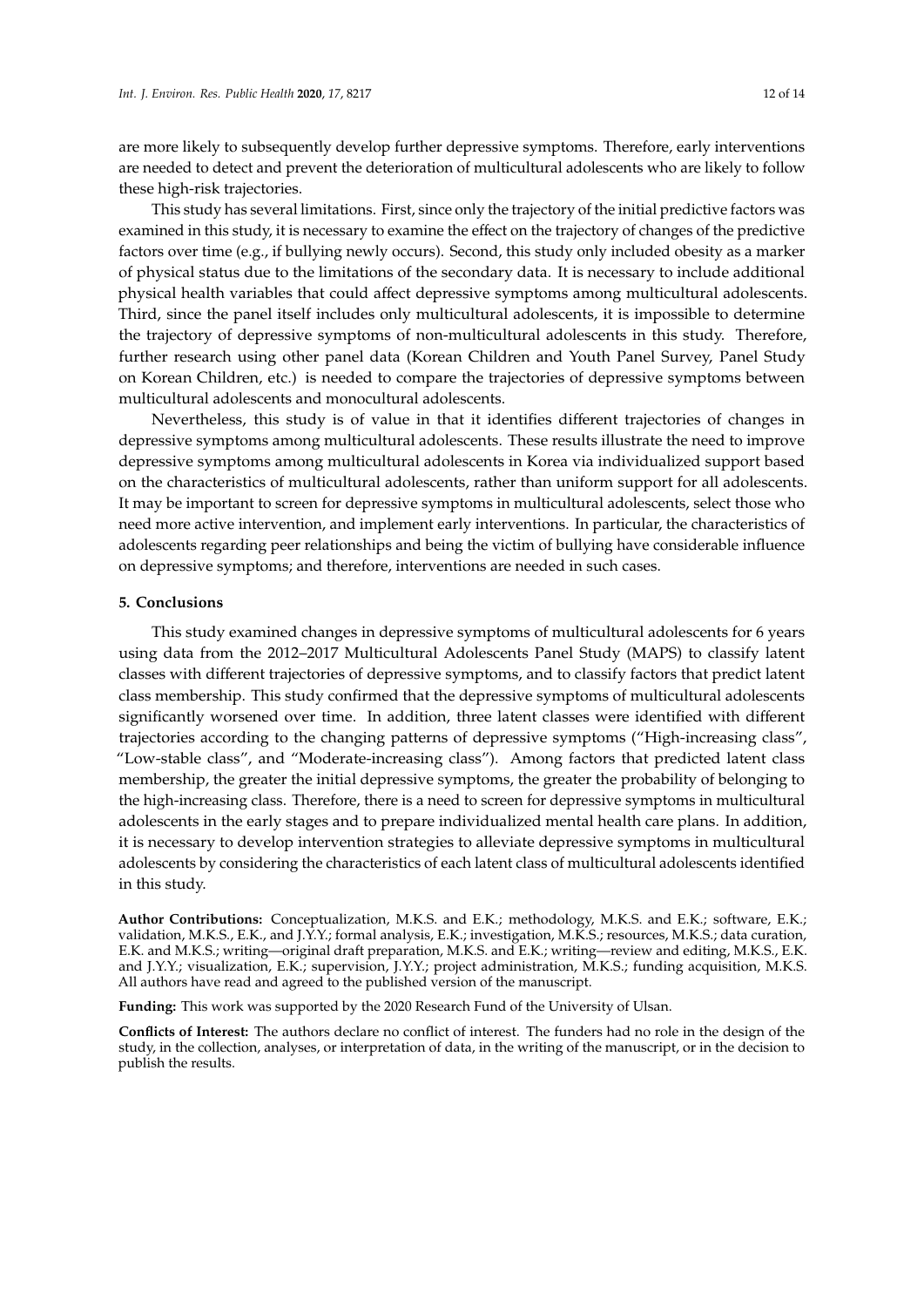are more likely to subsequently develop further depressive symptoms. Therefore, early interventions are needed to detect and prevent the deterioration of multicultural adolescents who are likely to follow these high-risk trajectories.

This study has several limitations. First, since only the trajectory of the initial predictive factors was examined in this study, it is necessary to examine the effect on the trajectory of changes of the predictive factors over time (e.g., if bullying newly occurs). Second, this study only included obesity as a marker of physical status due to the limitations of the secondary data. It is necessary to include additional physical health variables that could affect depressive symptoms among multicultural adolescents. Third, since the panel itself includes only multicultural adolescents, it is impossible to determine the trajectory of depressive symptoms of non-multicultural adolescents in this study. Therefore, further research using other panel data (Korean Children and Youth Panel Survey, Panel Study on Korean Children, etc.) is needed to compare the trajectories of depressive symptoms between multicultural adolescents and monocultural adolescents.

Nevertheless, this study is of value in that it identifies different trajectories of changes in depressive symptoms among multicultural adolescents. These results illustrate the need to improve depressive symptoms among multicultural adolescents in Korea via individualized support based on the characteristics of multicultural adolescents, rather than uniform support for all adolescents. It may be important to screen for depressive symptoms in multicultural adolescents, select those who need more active intervention, and implement early interventions. In particular, the characteristics of adolescents regarding peer relationships and being the victim of bullying have considerable influence on depressive symptoms; and therefore, interventions are needed in such cases.

## **5. Conclusions**

This study examined changes in depressive symptoms of multicultural adolescents for 6 years using data from the 2012–2017 Multicultural Adolescents Panel Study (MAPS) to classify latent classes with different trajectories of depressive symptoms, and to classify factors that predict latent class membership. This study confirmed that the depressive symptoms of multicultural adolescents significantly worsened over time. In addition, three latent classes were identified with different trajectories according to the changing patterns of depressive symptoms ("High-increasing class", "Low-stable class", and "Moderate-increasing class"). Among factors that predicted latent class membership, the greater the initial depressive symptoms, the greater the probability of belonging to the high-increasing class. Therefore, there is a need to screen for depressive symptoms in multicultural adolescents in the early stages and to prepare individualized mental health care plans. In addition, it is necessary to develop intervention strategies to alleviate depressive symptoms in multicultural adolescents by considering the characteristics of each latent class of multicultural adolescents identified in this study.

**Author Contributions:** Conceptualization, M.K.S. and E.K.; methodology, M.K.S. and E.K.; software, E.K.; validation, M.K.S., E.K., and J.Y.Y.; formal analysis, E.K.; investigation, M.K.S.; resources, M.K.S.; data curation, E.K. and M.K.S.; writing—original draft preparation, M.K.S. and E.K.; writing—review and editing, M.K.S., E.K. and J.Y.Y.; visualization, E.K.; supervision, J.Y.Y.; project administration, M.K.S.; funding acquisition, M.K.S. All authors have read and agreed to the published version of the manuscript.

**Funding:** This work was supported by the 2020 Research Fund of the University of Ulsan.

**Conflicts of Interest:** The authors declare no conflict of interest. The funders had no role in the design of the study, in the collection, analyses, or interpretation of data, in the writing of the manuscript, or in the decision to publish the results.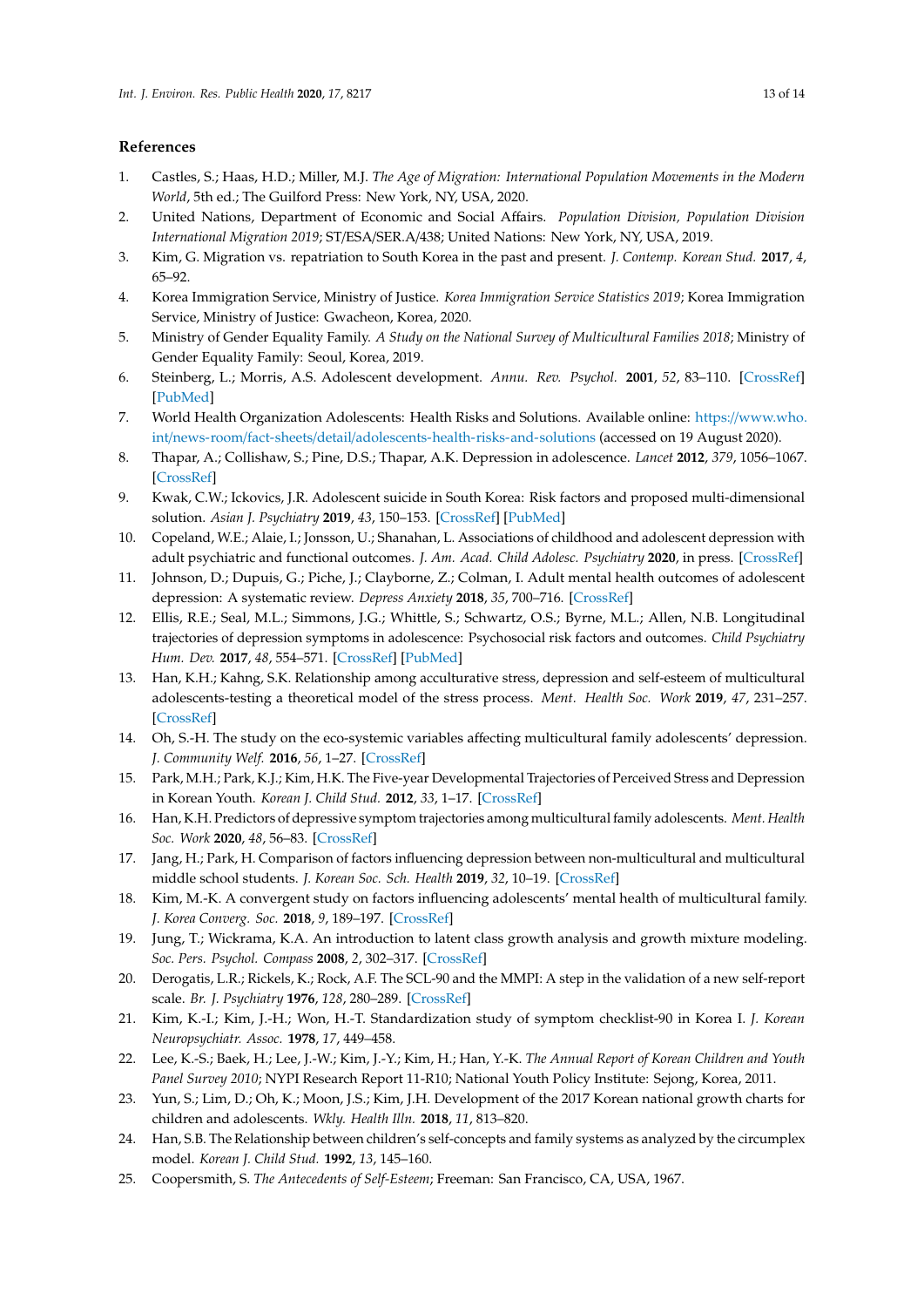## **References**

- <span id="page-12-0"></span>1. Castles, S.; Haas, H.D.; Miller, M.J. *The Age of Migration: International Population Movements in the Modern World*, 5th ed.; The Guilford Press: New York, NY, USA, 2020.
- <span id="page-12-1"></span>2. United Nations, Department of Economic and Social Affairs. *Population Division, Population Division International Migration 2019*; ST/ESA/SER.A/438; United Nations: New York, NY, USA, 2019.
- <span id="page-12-2"></span>3. Kim, G. Migration vs. repatriation to South Korea in the past and present. *J. Contemp. Korean Stud.* **2017**, *4*, 65–92.
- <span id="page-12-3"></span>4. Korea Immigration Service, Ministry of Justice. *Korea Immigration Service Statistics 2019*; Korea Immigration Service, Ministry of Justice: Gwacheon, Korea, 2020.
- <span id="page-12-4"></span>5. Ministry of Gender Equality Family. *A Study on the National Survey of Multicultural Families 2018*; Ministry of Gender Equality Family: Seoul, Korea, 2019.
- <span id="page-12-5"></span>6. Steinberg, L.; Morris, A.S. Adolescent development. *Annu. Rev. Psychol.* **2001**, *52*, 83–110. [\[CrossRef\]](http://dx.doi.org/10.1146/annurev.psych.52.1.83) [\[PubMed\]](http://www.ncbi.nlm.nih.gov/pubmed/11148300)
- <span id="page-12-6"></span>7. World Health Organization Adolescents: Health Risks and Solutions. Available online: https://[www.who.](https://www.who.int/news-room/fact-sheets/detail/adolescents-health-risks-and-solutions) int/news-room/fact-sheets/detail/[adolescents-health-risks-and-solutions](https://www.who.int/news-room/fact-sheets/detail/adolescents-health-risks-and-solutions) (accessed on 19 August 2020).
- <span id="page-12-7"></span>8. Thapar, A.; Collishaw, S.; Pine, D.S.; Thapar, A.K. Depression in adolescence. *Lancet* **2012**, *379*, 1056–1067. [\[CrossRef\]](http://dx.doi.org/10.1016/S0140-6736(11)60871-4)
- <span id="page-12-8"></span>9. Kwak, C.W.; Ickovics, J.R. Adolescent suicide in South Korea: Risk factors and proposed multi-dimensional solution. *Asian J. Psychiatry* **2019**, *43*, 150–153. [\[CrossRef\]](http://dx.doi.org/10.1016/j.ajp.2019.05.027) [\[PubMed\]](http://www.ncbi.nlm.nih.gov/pubmed/31151083)
- <span id="page-12-9"></span>10. Copeland, W.E.; Alaie, I.; Jonsson, U.; Shanahan, L. Associations of childhood and adolescent depression with adult psychiatric and functional outcomes. *J. Am. Acad. Child Adolesc. Psychiatry* **2020**, in press. [\[CrossRef\]](http://dx.doi.org/10.1016/j.jaac.2020.07.895)
- <span id="page-12-10"></span>11. Johnson, D.; Dupuis, G.; Piche, J.; Clayborne, Z.; Colman, I. Adult mental health outcomes of adolescent depression: A systematic review. *Depress Anxiety* **2018**, *35*, 700–716. [\[CrossRef\]](http://dx.doi.org/10.1002/da.22777)
- <span id="page-12-11"></span>12. Ellis, R.E.; Seal, M.L.; Simmons, J.G.; Whittle, S.; Schwartz, O.S.; Byrne, M.L.; Allen, N.B. Longitudinal trajectories of depression symptoms in adolescence: Psychosocial risk factors and outcomes. *Child Psychiatry Hum. Dev.* **2017**, *48*, 554–571. [\[CrossRef\]](http://dx.doi.org/10.1007/s10578-016-0682-z) [\[PubMed\]](http://www.ncbi.nlm.nih.gov/pubmed/27619221)
- <span id="page-12-20"></span>13. Han, K.H.; Kahng, S.K. Relationship among acculturative stress, depression and self-esteem of multicultural adolescents-testing a theoretical model of the stress process. *Ment. Health Soc. Work* **2019**, *47*, 231–257. [\[CrossRef\]](http://dx.doi.org/10.24301/MHSW.2019.03.47.1.231)
- <span id="page-12-24"></span>14. Oh, S.-H. The study on the eco-systemic variables affecting multicultural family adolescents' depression. *J. Community Welf.* **2016**, *56*, 1–27. [\[CrossRef\]](http://dx.doi.org/10.15300/jcw.2016.56.1.1)
- <span id="page-12-12"></span>15. Park, M.H.; Park, K.J.; Kim, H.K. The Five-year Developmental Trajectories of Perceived Stress and Depression in Korean Youth. *Korean J. Child Stud.* **2012**, *33*, 1–17. [\[CrossRef\]](http://dx.doi.org/10.5723/KJCS.2012.33.4.1)
- <span id="page-12-13"></span>16. Han, K.H. Predictors of depressive symptom trajectories among multicultural family adolescents. *Ment. Health Soc. Work* **2020**, *48*, 56–83. [\[CrossRef\]](http://dx.doi.org/10.24301/MHSW.2020.03.48.1.56)
- <span id="page-12-14"></span>17. Jang, H.; Park, H. Comparison of factors influencing depression between non-multicultural and multicultural middle school students. *J. Korean Soc. Sch. Health* **2019**, *32*, 10–19. [\[CrossRef\]](http://dx.doi.org/10.15434/KSSH.2019.32.1.10)
- <span id="page-12-15"></span>18. Kim, M.-K. A convergent study on factors influencing adolescents' mental health of multicultural family. *J. Korea Converg. Soc.* **2018**, *9*, 189–197. [\[CrossRef\]](http://dx.doi.org/10.15207/JKCS.2018.9.1.189)
- <span id="page-12-16"></span>19. Jung, T.; Wickrama, K.A. An introduction to latent class growth analysis and growth mixture modeling. *Soc. Pers. Psychol. Compass* **2008**, *2*, 302–317. [\[CrossRef\]](http://dx.doi.org/10.1111/j.1751-9004.2007.00054.x)
- <span id="page-12-17"></span>20. Derogatis, L.R.; Rickels, K.; Rock, A.F. The SCL-90 and the MMPI: A step in the validation of a new self-report scale. *Br. J. Psychiatry* **1976**, *128*, 280–289. [\[CrossRef\]](http://dx.doi.org/10.1192/bjp.128.3.280)
- <span id="page-12-18"></span>21. Kim, K.-I.; Kim, J.-H.; Won, H.-T. Standardization study of symptom checklist-90 in Korea I. *J. Korean Neuropsychiatr. Assoc.* **1978**, *17*, 449–458.
- <span id="page-12-19"></span>22. Lee, K.-S.; Baek, H.; Lee, J.-W.; Kim, J.-Y.; Kim, H.; Han, Y.-K. *The Annual Report of Korean Children and Youth Panel Survey 2010*; NYPI Research Report 11-R10; National Youth Policy Institute: Sejong, Korea, 2011.
- <span id="page-12-21"></span>23. Yun, S.; Lim, D.; Oh, K.; Moon, J.S.; Kim, J.H. Development of the 2017 Korean national growth charts for children and adolescents. *Wkly. Health Illn.* **2018**, *11*, 813–820.
- <span id="page-12-22"></span>24. Han, S.B. The Relationship between children's self-concepts and family systems as analyzed by the circumplex model. *Korean J. Child Stud.* **1992**, *13*, 145–160.
- <span id="page-12-23"></span>25. Coopersmith, S. *The Antecedents of Self-Esteem*; Freeman: San Francisco, CA, USA, 1967.